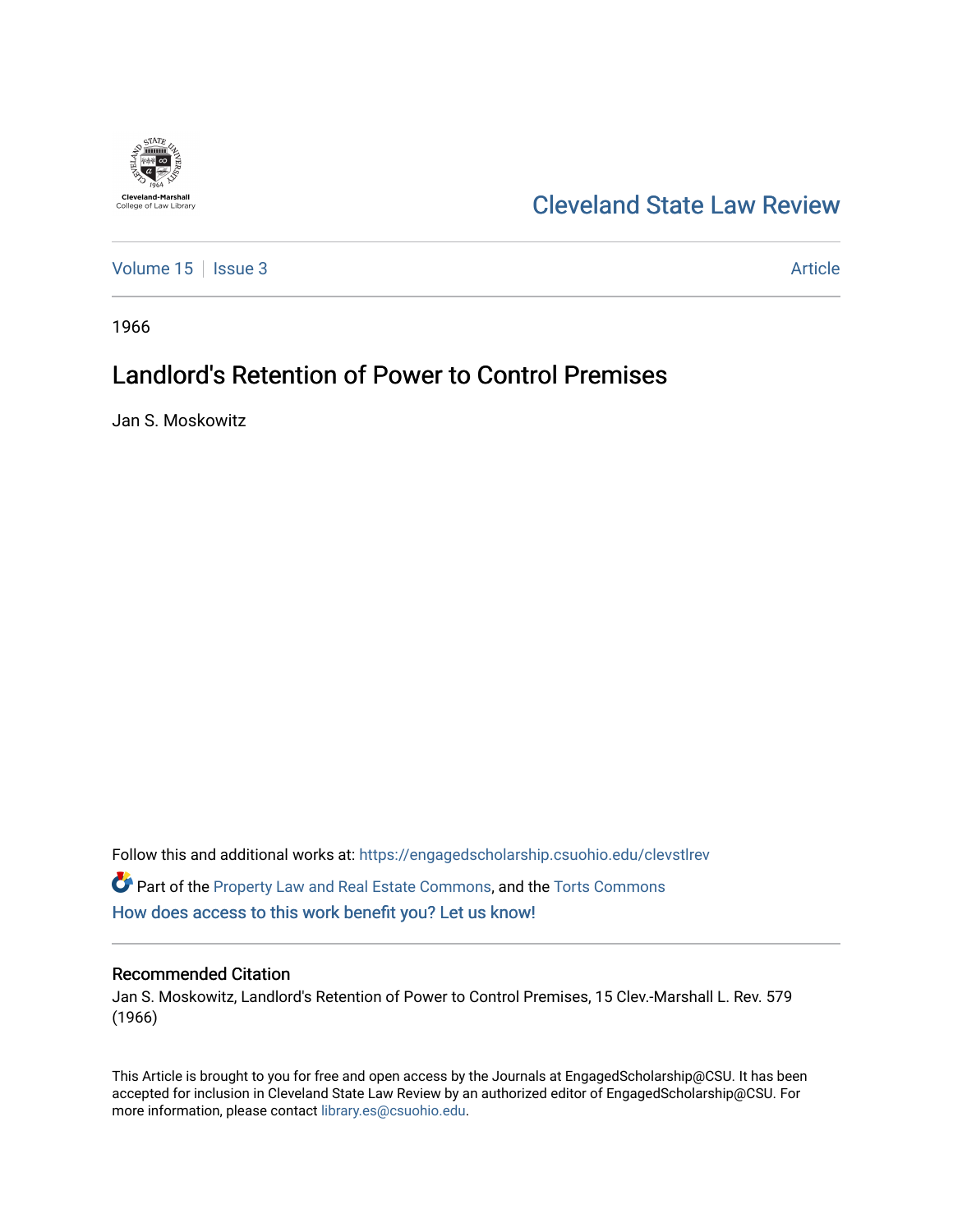

# [Cleveland State Law Review](https://engagedscholarship.csuohio.edu/clevstlrev)

[Volume 15](https://engagedscholarship.csuohio.edu/clevstlrev/vol15) | [Issue 3](https://engagedscholarship.csuohio.edu/clevstlrev/vol15/iss3) Article

1966

# Landlord's Retention of Power to Control Premises

Jan S. Moskowitz

Follow this and additional works at: [https://engagedscholarship.csuohio.edu/clevstlrev](https://engagedscholarship.csuohio.edu/clevstlrev?utm_source=engagedscholarship.csuohio.edu%2Fclevstlrev%2Fvol15%2Fiss3%2F15&utm_medium=PDF&utm_campaign=PDFCoverPages) Part of the [Property Law and Real Estate Commons,](http://network.bepress.com/hgg/discipline/897?utm_source=engagedscholarship.csuohio.edu%2Fclevstlrev%2Fvol15%2Fiss3%2F15&utm_medium=PDF&utm_campaign=PDFCoverPages) and the [Torts Commons](http://network.bepress.com/hgg/discipline/913?utm_source=engagedscholarship.csuohio.edu%2Fclevstlrev%2Fvol15%2Fiss3%2F15&utm_medium=PDF&utm_campaign=PDFCoverPages)  [How does access to this work benefit you? Let us know!](http://library.csuohio.edu/engaged/)

# Recommended Citation

Jan S. Moskowitz, Landlord's Retention of Power to Control Premises, 15 Clev.-Marshall L. Rev. 579 (1966)

This Article is brought to you for free and open access by the Journals at EngagedScholarship@CSU. It has been accepted for inclusion in Cleveland State Law Review by an authorized editor of EngagedScholarship@CSU. For more information, please contact [library.es@csuohio.edu](mailto:library.es@csuohio.edu).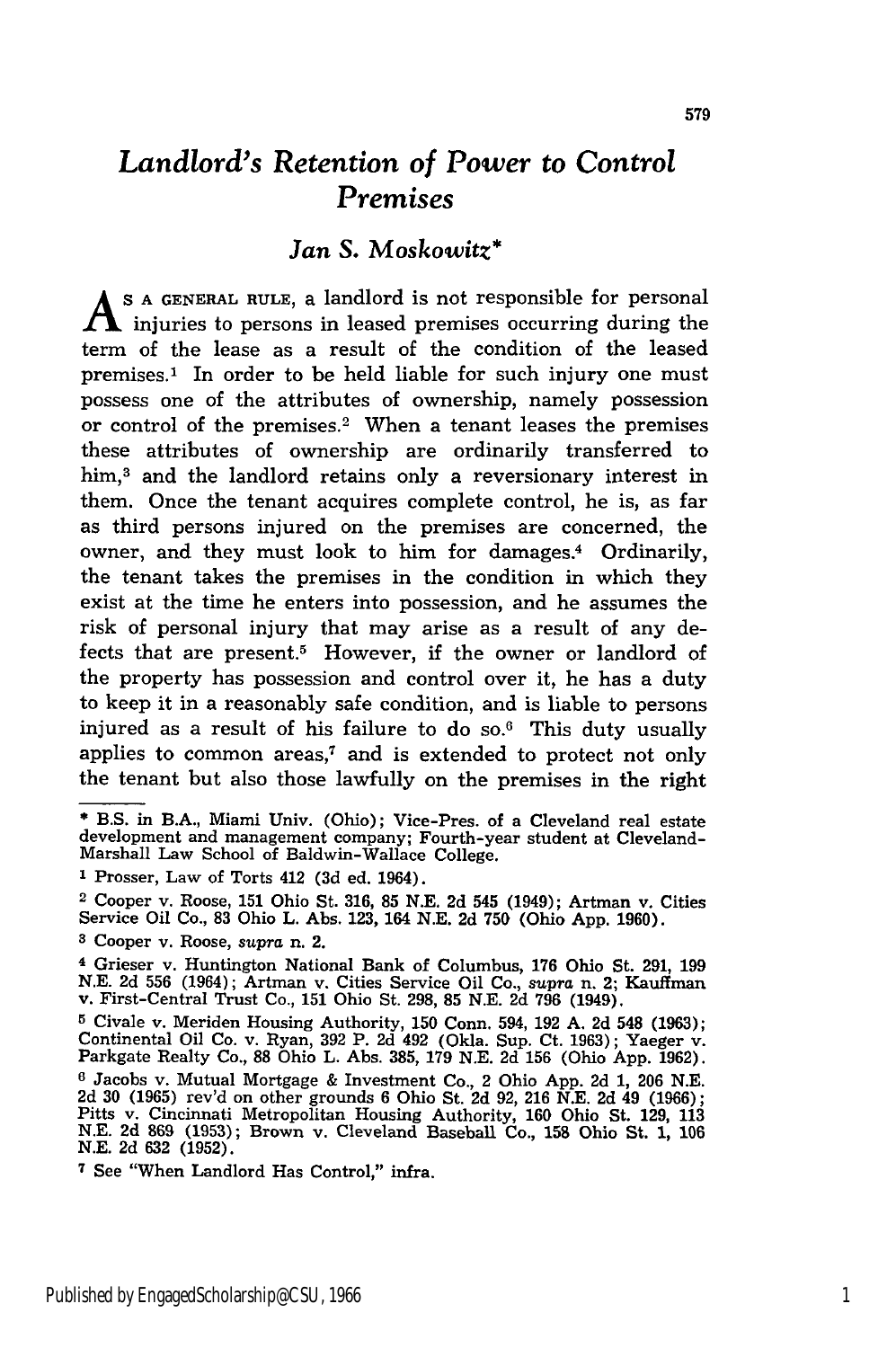# *Landlord's Retention of Power to Control Premises*

# *Jan S. Moskowitz\**

**A S A GENERAL RULE,** a landlord is not responsible for personal  $\Lambda$  injuries to persons in leased premises occurring during the term of the lease as a result of the condition of the leased premises.' In order to be held liable for such injury one must possess one of the attributes of ownership, namely possession or control of the premises.<sup>2</sup> When a tenant leases the premises these attributes of ownership are ordinarily transferred to him,<sup>3</sup> and the landlord retains only a reversionary interest in them. Once the tenant acquires complete control, he is, as far as third persons injured on the premises are concerned, the owner, and they must look to him for damages.<sup>4</sup> Ordinarily, the tenant takes the premises in the condition in which they exist at the time he enters into possession, and he assumes the risk of personal injury that may arise as a result of any defects that are present.5 However, if the owner or landlord of the property has possession and control over it, he has a duty to keep it in a reasonably safe condition, and is liable to persons injured as a result of his failure to do **so.6** This duty usually applies to common areas, $7$  and is extended to protect not only the tenant but also those lawfully on the premises in the right

**<sup>\*</sup>** B.S. in B.A., Miami Univ. (Ohio); Vice-Pres. of a Cleveland real estate development and management company; Fourth-year student at Cleveland-Marshall Law School of Baldwin-Wallace College.

**<sup>1</sup>** Prosser, Law of Torts 412 (3d ed. 1964).

<sup>2</sup> Cooper v. Roose, 151 Ohio St. 316, 85 N.E. 2d 545 (1949); Artman v. Cities Service Oil Co., **83** Ohio L. Abs. 123, 164 N.E. 2d 750 (Ohio App. 1960).

**<sup>3</sup>** Cooper v. Roose, *supra* n. 2.

**<sup>4</sup>**Grieser v. Huntington National Bank of Columbus, 176 Ohio St. 291, 199 N.E. 2d 556 (1964); Artman v. Cities Service Oil Co., supra n. 2; Kauffman v. First-Central Trust Co., 151 Ohio St. 298, **85 N.E.** 2d 796 (1949).

**<sup>5</sup>** Civale v. Meriden Housing Authority, 150 Conn. 594, 192 A. 2d 548 (1963); Continental Oil Co. v. Ryan, 392 P. 2d 492 (Okla. Sup. Ct. 1963); Yaeger v. Parkgate Realty Co., **88** Ohio L. Abs. 385, 179 N.E. 2d 156 (Ohio App. 1962). **6** Jacobs v. Mutual Mortgage & Investment Co., 2 Ohio App. 2d 1, **206** N.E. 2d 30 (1965) rev'd on other grounds 6 Ohio St. 2d 92, 216 N.E. 2d 49 (1966); Pitts v. Cincinnati Metropolitan Housing Authority, **160** Ohio St. 129, 113 N.E. 2d 869 (1953); Brown v. Cleveland Baseball Co., 158 Ohio St. 1, **106 N.E. 2d 632 (1952).**

**<sup>7</sup>** See "When Landlord Has Control," infra.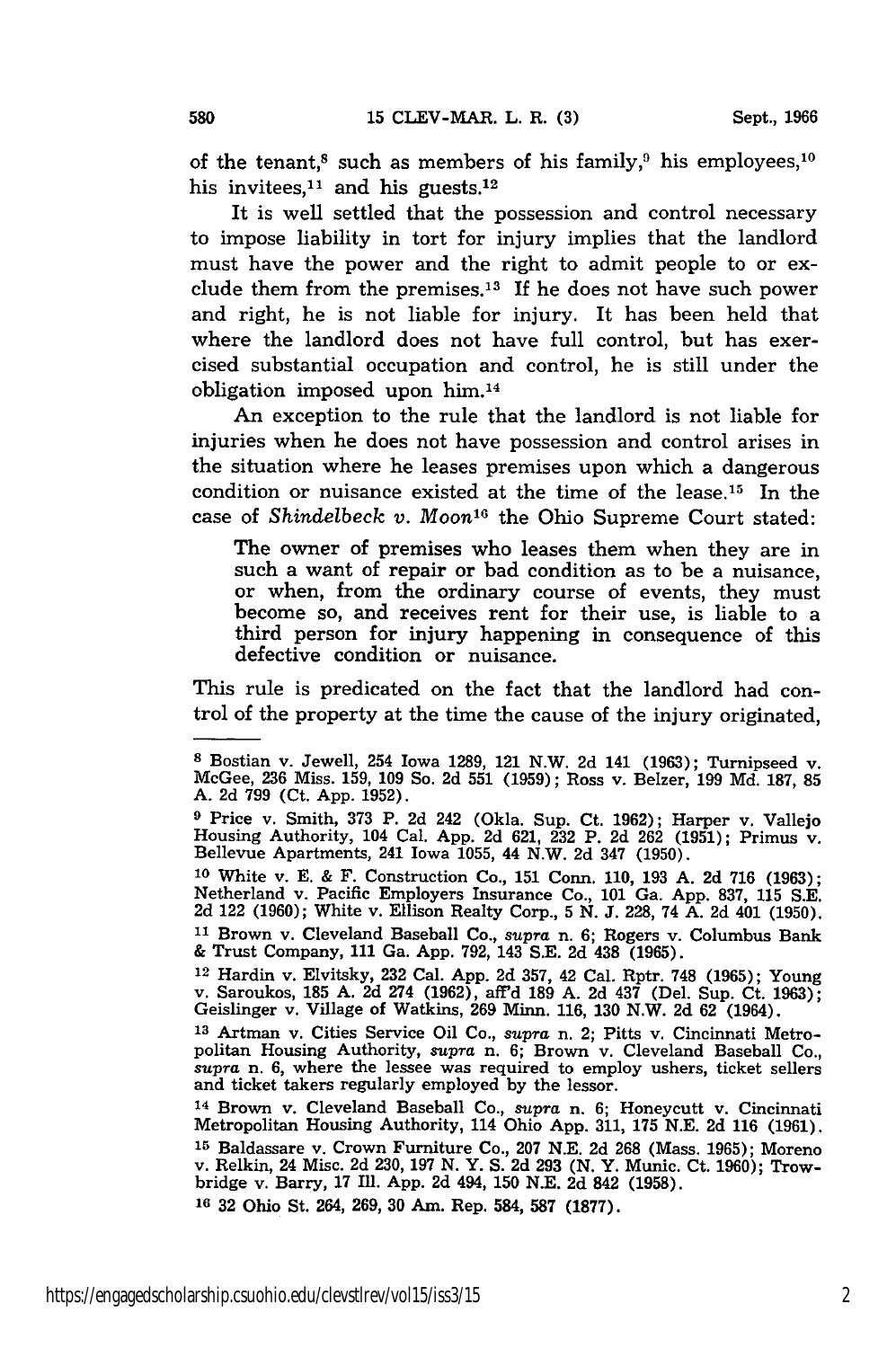of the tenant,<sup>8</sup> such as members of his family,<sup>9</sup> his employees,<sup>10</sup> his invitees, $11$  and his guests, $12$ 

It is well settled that the possession and control necessary to impose liability in tort for injury implies that the landlord must have the power and the right to admit people to or exclude them from the premises.<sup>13</sup> If he does not have such power and right, he is not liable for injury. It has been held that where the landlord does not have full control, but has exercised substantial occupation and control, he is still under the obligation imposed upon him. <sup>14</sup>

An exception to the rule that the landlord is not liable for injuries when he does not have possession and control arises in the situation where he leases premises upon which a dangerous condition or nuisance existed at the time of the lease.15 In the case of *Shindelbeck v. Moon*<sup>16</sup> the Ohio Supreme Court stated:

The owner of premises who leases them when they are in such a want of repair or bad condition as to be a nuisance, or when, from the ordinary course of events, they must become so, and receives rent for their use, is liable to a third person for injury happening in consequence of this defective condition or nuisance.

This rule is predicated on the fact that the landlord had control of the property at the time the cause of the injury originated,

**<sup>10</sup>**White v. E. **&** F. Construction Co., **151** Conn. **110,** 193 **A.** 2d 716 (1963); Netherland v. Pacific Employers Insurance Co., 101 Ga. App. 837, **115 S.E.** 2d 122 (1960); White v. Ellison Realty Corp., **5** N. **J. 228,** 74 A. 2d 401 (1950).

**<sup>11</sup>**Brown v. Cleveland Baseball Co., *supra* n. 6; Rogers v. Columbus Bank **&** Trust Company, 111 Ga. App. 792, 143 S.E. 2d 438 (1965). 12 Hardin v. Elvitsky, 232 Cal. App. 2d **357,** 42 Cal. Rptr. **748** (1965); Young

v. Saroukos, **185** A. 2d 274 (1962), aff'd **189** A. **2d** 437 (Del. Sup. Ct. 1963); Geislinger v. Village of Watkins, **269** Minn. 116, 130 N.W. 2d **62** (1964).

**13** Artman v. Cities Service Oil Co., *supra* n. 2; Pitts v. Cincinnati Metropolitan Housing Authority, *supra* n. 6; Brown v. Cleveland Baseball Co., *supra* n. 6, where the lessee was required to employ ushers, ticket sellers and ticket takers regularly employed by the lessor.<br><sup>14</sup> Brown v. Cleveland Baseball Co., *supra* n. 6: Honeycutt v. Cincinnati

Metropolitan Housing Authority, 114 Ohio App. **311, 175** N.E. 2d **116** (1961). **<sup>15</sup>**Baldassare v. Crown Furniture Co., 207 N.E. 2d **268** (Mass. 1965); Moreno v. Relkin, 24 Misc. 2d **230, 197** N. Y. **S.** 2d **293** (N. Y. Munic. Ct. 1960); Trow-

bridge v. Barry, **17** Ill. App. **2d** 494, **150** N.E. 2d **842** (1958).

**16 32** Ohio St. 264, **269, 30 Am.** Rep. **584, 587** (1877).

**<sup>8</sup>**Bostian v. Jewell, 254 Iowa 1289, 121 N.W. 2d 141 (1963); Turnipseed v. McGee, **236** Miss. 159, **109** So. 2d **551** (1959); Ross v. Belzer, 199 **Md.** 187, **<sup>85</sup>** A. 2d 799 (Ct. App. 1952).

<sup>&</sup>lt;sup>9</sup> Price v. Smith, 373 P. 2d 242 (Okla. Sup. Ct. 1962); Harper v. Vallejo Housing Authority, 104 Cal. App. 2d 621, 232 P. 2d 262 (1951); Primus v. Bellevue Apartments, 241 Iowa 1055, 44 N.W. 2d 347 (1950).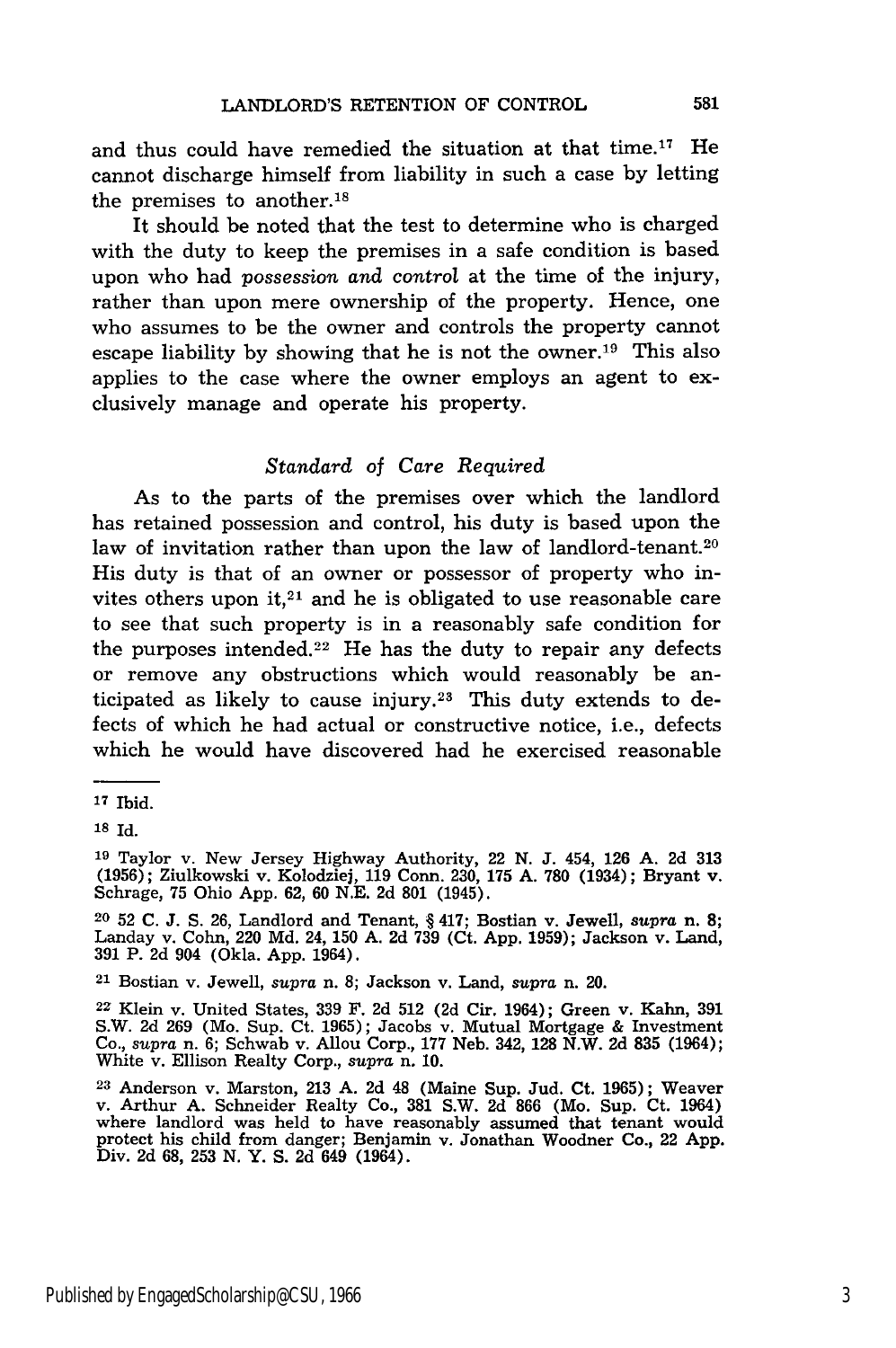and thus could have remedied the situation at that time.17 He cannot discharge himself from liability in such a case by letting the premises to another.18

It should be noted that the test to determine who is charged with the duty to keep the premises in a safe condition is based upon who had possession *and control* at the time of the injury, rather than upon mere ownership of the property. Hence, one who assumes to be the owner and controls the property cannot escape liability by showing that he is not the owner.19 This also applies to the case where the owner employs an agent to exclusively manage and operate his property.

#### *Standard* of *Care Required*

As to the parts of the premises over which the landlord has retained possession and control, his duty is based upon the law of invitation rather than upon the law of landlord-tenant.<sup>20</sup> His duty is that of an owner or possessor of property who invites others upon it, $21$  and he is obligated to use reasonable care to see that such property is in a reasonably safe condition for the purposes intended.<sup>22</sup> He has the duty to repair any defects or remove any obstructions which would reasonably be anticipated as likely to cause injury.<sup>23</sup> This duty extends to defects of which he had actual or constructive notice, i.e., defects which he would have discovered had he exercised reasonable

21 Bostian v. Jewell, *supra* n. 8; Jackson v. Land, *supra* n. 20.

**<sup>17</sup>**Ibid.

**<sup>18</sup>** Id.

**<sup>19</sup>**Taylor v. New Jersey Highway Authority, 22 N. J. 454, 126 A. 2d 313 (1956); Ziulkowski v. Kolodziej, 119 Conn. 230, 175 A. 780 (1934); Bryant v. Schrage, 75 Ohio App. 62, 60 N.E. 2d 801 (1945).

**<sup>20</sup>**52 C. J. **S.** 26, Landlord and Tenant, **§** 417; Bostian v. Jewell, *supra* n. 8; Landay v. Cohn, 220 Md. 24, 150 A. 2d 739 (Ct. App. 1959); Jackson v. Land, 391 P. 2d 904 (Okla. App. 1964).

**<sup>22</sup>** Klein v. United States, **339** F. **2d 512 (2d** Cir. 1964); Green v. Kahn, **391** S.W. 2d 269 (Mo. Sup. Ct. 1965); Jacobs v. Mutual Mortgage & Investment Co., *supra n.* 6; Schwab v. Allou Corp., 177 Neb. 342, 128 N.W. 2d 835 (1964) White v. Ellison Realty Corp., *supra* n. 10.

**<sup>23</sup>**Anderson v. Marston, 213 A. 2d 48 (Maine Sup. Jud. Ct. 1965); Weaver v. Arthur A. Schneider Realty Co., 381 S.W. **2d** 866 (Mo. Sup. Ct. 1964) where landlord was held to have reasonably assumed that tenant would protect his child from danger; Benjamin v. Jonathan Woodner Co., 22 **App.** Div. **2d 68, 253 N.** Y. **S. 2d** 649 (1964).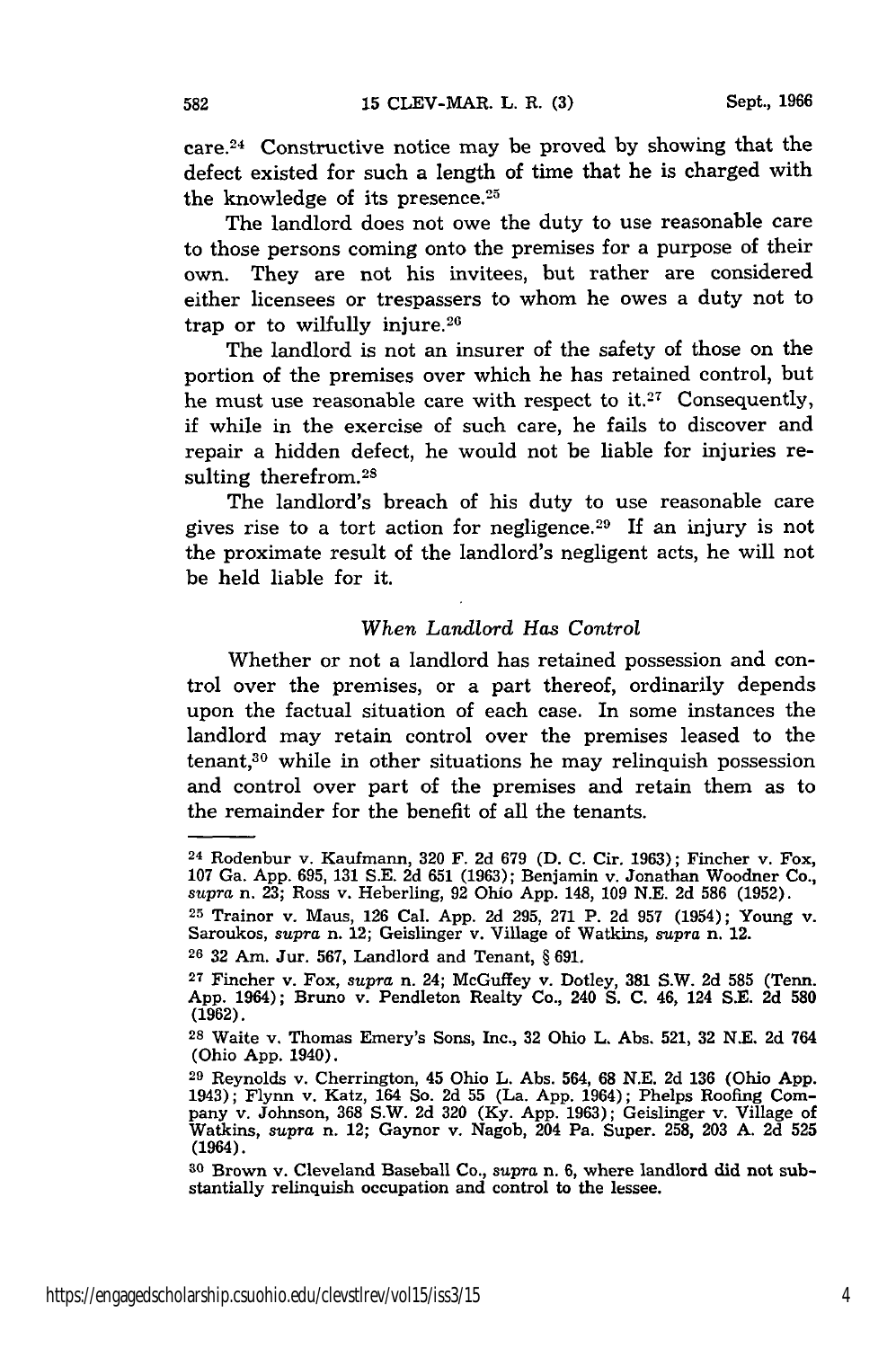care.24 Constructive notice may be proved by showing that the defect existed for such a length of time that he is charged with the knowledge of its presence.25

The landlord does not owe the duty to use reasonable care to those persons coming onto the premises for a purpose of their own. They are not his invitees, but rather are considered either licensees or trespassers to whom he owes a duty not to trap or to wilfully injure.<sup>26</sup>

The landlord is not an insurer of the safety of those on the portion of the premises over which he has retained control, but he must use reasonable care with respect to it.<sup>27</sup> Consequently, if while in the exercise of such care, he fails to discover and repair a hidden defect, he would not be liable for injuries resulting therefrom.<sup>28</sup>

The landlord's breach of his duty to use reasonable care gives rise to a tort action for negligence.<sup>29</sup> If an injury is not the proximate result of the landlord's negligent acts, he will not be held liable for it.

### *When Landlord Has Control*

Whether or not a landlord has retained possession and control over the premises, or a part thereof, ordinarily depends upon the factual situation of each case. In some instances the landlord may retain control over the premises leased to the tenant,30 while in other situations he may relinquish possession and control over part of the premises and retain them as to the remainder for the benefit of all the tenants.

<sup>24</sup> Rodenbur v. Kaufmann, **320** F. 2d **679 (D.** C. Cir. 1963); Fincher v. Fox, 107 Ga. App. 695, 131 S.E. 2d 651 (1963); Benjamin v. Jonathan Woodner Co., *supra* n. 23; Ross v. Heberling, 92 Ohio App. 148, 109 N.E. 2d 586 (1952).

**<sup>25</sup>**Trainor v. Maus, 126 Cal. App. 2d 295, 271 P. 2d 957 (1954); Young v. Saroukos, *supra* n. 12; Geislinger v. Village of Watkins, *supra* n. 12.

**<sup>26</sup>**32 Am. Jur. **567,** Landlord and Tenant, § 691.

**<sup>27</sup>**Fincher v. Fox, *supra* n. 24; McGuffey v. Dotley, 381 S.W. 2d 585 (Tenn. App. 1964); Bruno v. Pendleton Realty Co., 240 S. **C.** 46, 124 S.E. 2d **580 (1962).**

**<sup>28</sup>** Waite v. Thomas Emery's Sons, Inc., 32 Ohio L. Abs. **521, 32 N.E. 2d** 764 (Ohio **App.** 1940).

**<sup>29</sup>**Reynolds v. Cherrington, 45 Ohio L. Abs. 564, **68 N.E. 2d 136** (Ohio **App.** 1943); Flynn v. Katz, 164 So. **2d 55** (La. **App.** 1964); Phelps Roofing Company v. Johnson, **368** S.W. **2d 320 (Ky. App. 1963);** Geislinger v. Village of Watkins, *supra* n. 12; Gaynor v. Nagob, 204 Pa. Super. **258, 203 A. 2d** 525 (1964).

**<sup>30</sup>** Brown v. Cleveland Baseball Co., *supra* n. **6,** where landlord did not substantially relinquish occupation and control to the lessee.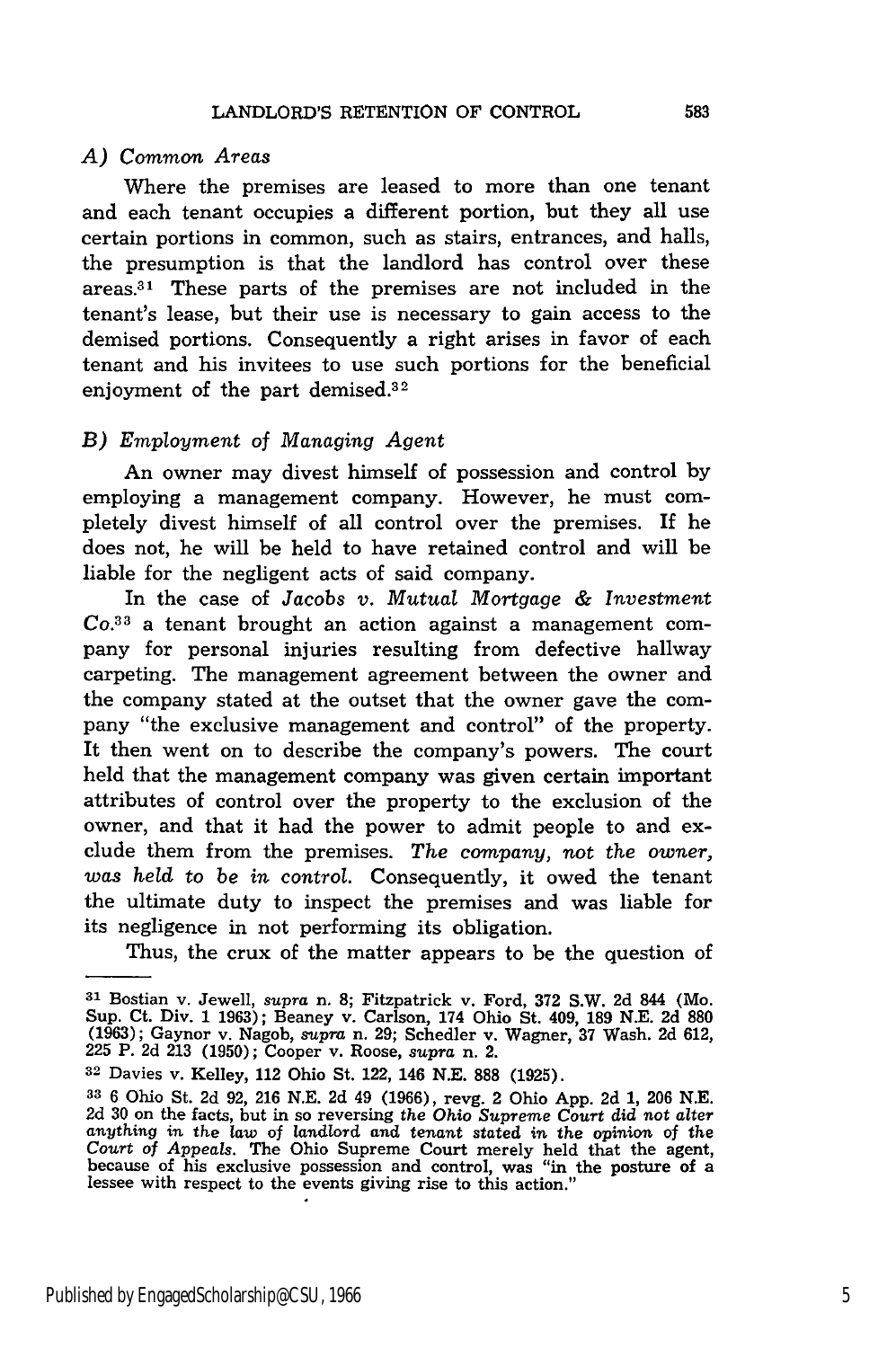#### *A) Common Areas*

Where the premises are leased to more than one tenant and each tenant occupies a different portion, but they all use certain portions in common, such as stairs, entrances, and halls, the presumption is that the landlord has control over these areas.<sup>31</sup> These parts of the premises are not included in the tenant's lease, but their use is necessary to gain access to the demised portions. Consequently a right arises in favor of each tenant and his invitees to use such portions for the beneficial enjoyment of the part demised.<sup>32</sup>

#### *B) Employment* of *Managing Agent*

An owner may divest himself of possession and control by employing a management company. However, he must completely divest himself of all control over the premises. If he does not, he will be held to have retained control and will be liable for the negligent acts of said company.

In the case of *Jacobs v. Mutual Mortgage & Investment Co.<sup>3</sup> <sup>3</sup>*a tenant brought an action against a management company for personal injuries resulting from defective hallway carpeting. The management agreement between the owner and the company stated at the outset that the owner gave the company "the exclusive management and control" of the property. It then went on to describe the company's powers. The court held that the management company was given certain important attributes of control over the property to the exclusion of the owner, and that it had the power to admit people to and exclude them from the premises. *The company, not the owner, was held* to *be in* control. Consequently, it owed the tenant the ultimate duty to inspect the premises and was liable for its negligence in not performing its obligation.

Thus, the crux of the matter appears to be the question of

**<sup>31</sup>**Bostian v. Jewell, *supra* n. **8;** Fitzpatrick v. Ford, 372 S.W. 2d 844 (Mo. Sup. Ct. Div. 1 1963); Beaney v. Carlson, 174 Ohio St. 409, **189 N.E. 2d 880** (1963); Gaynor v. Nagob, *supra* n. 29; Schedler v. Wagner, 37 Wash. 2d 612, **225** P. 2d 213 (1950); Cooper v. Roose, *supra* n. 2.

**<sup>32</sup>**Davies v. Kelley, 112 Ohio St. 122, 146 N.E. **888** (1925).

**<sup>33</sup>**6 Ohio St. 2d 92, 216 N.E. 2d 49 (1966), revg. 2 Ohio App. 2d 1, 206 N.E. 2d 30 on the facts, but in so reversing *the* Ohio *Supreme Court did* not alter *anything* in the *law of* landlord and tenant stated in the opinion of the *Court of Appeals.* The Ohio Supreme Court merely held that the agent, because of his exclusive possession and control, was "in the posture of a lessee with respect to the events giving rise to this action."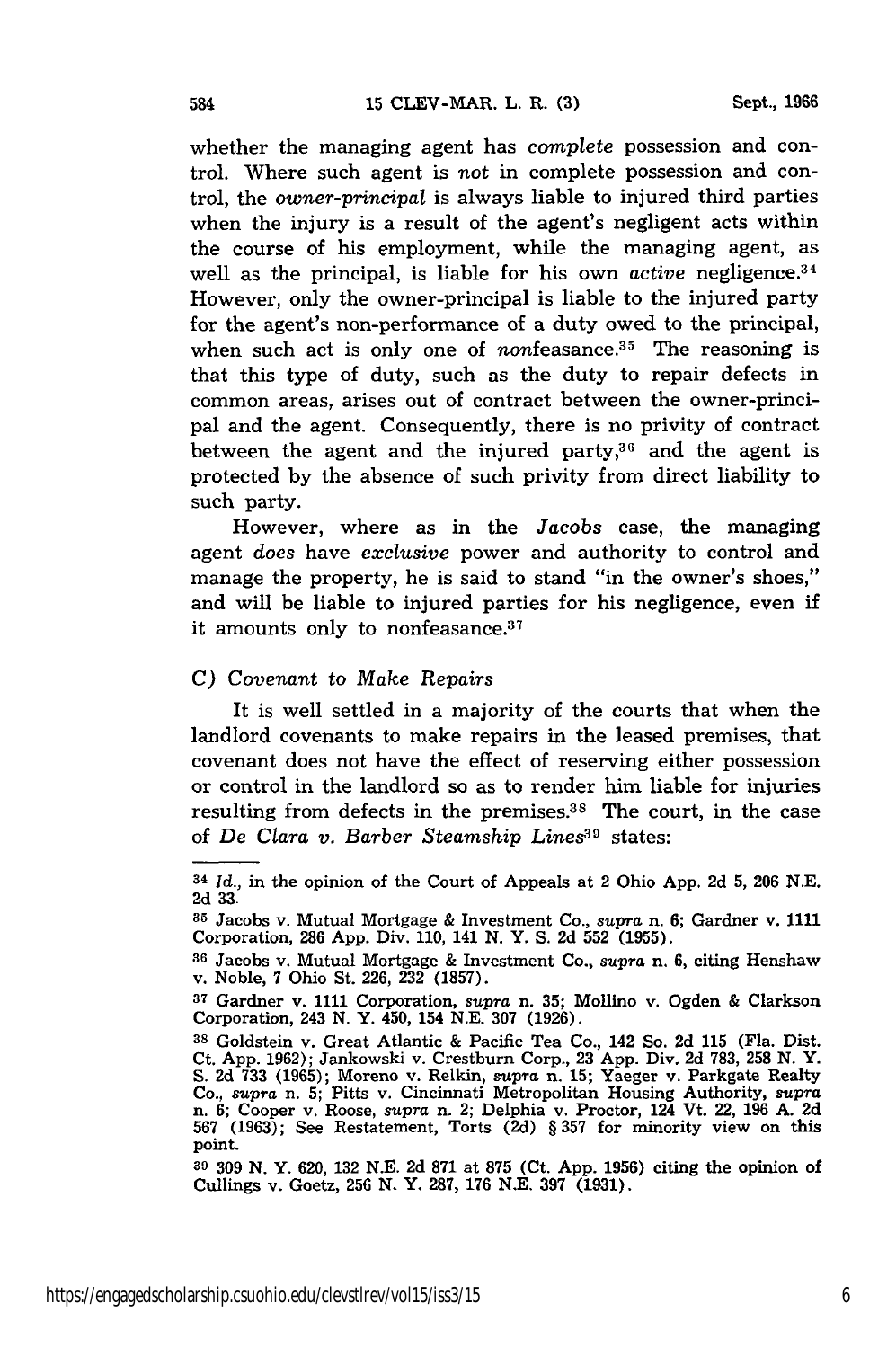whether the managing agent has *complete* possession and control. Where such agent is not in complete possession and control, the *owner-principal* is always liable to injured third parties when the injury is a result of the agent's negligent acts within the course of his employment, while the managing agent, as well as the principal, is liable for his own *active* negligence.<sup>34</sup> However, only the owner-principal is liable to the injured party for the agent's non-performance of a duty owed to the principal, when such act is only one of *nonfeasance*.<sup>35</sup> The reasoning is that this type of duty, such as the duty to repair defects in common areas, arises out of contract between the owner-principal and the agent. Consequently, there is no privity of contract between the agent and the injured party, $36$  and the agent is protected by the absence of such privity from direct liability to such party.

However, where as in the *Jacobs* case, the managing agent *does* have *exclusive* power and authority to control and manage the property, he is said to stand "in the owner's shoes," and will be liable to injured parties for his negligence, even if it amounts only to nonfeasance. $37$ 

#### C) Covenant to *Make Repairs*

It is well settled in a majority of the courts that when the landlord covenants to make repairs in the leased premises, that covenant does not have the effect of reserving either possession or control in the landlord so as to render him liable for injuries resulting from defects in the premises.<sup>38</sup> The court, in the case of De *Clara v. Barber Steamship Lines39* states:

**<sup>34</sup>***Id.,* in the opinion of the Court of Appeals at 2 Ohio **App.** 2d 5, 206 **N.E.** 2d 33.

**<sup>35</sup>**Jacobs v. Mutual Mortgage & Investment Co., *supra* n. 6; Gardner v. 1111 Corporation, 286 App. Div. 110, 141 N. Y. S. 2d **552** (1955).

**<sup>36</sup>**Jacobs v. Mutual Mortgage & Investment Co., *supra* n. 6, citing Henshaw v. Noble, 7 Ohio St. 226, 232 (1857).

**<sup>37</sup>**Gardner v. 1111 Corporation, *supra* n. 35; Mollino v. Ogden & Clarkson Corporation, 243 **N.** Y. 450, 154 N.E. **307** (1926).

**<sup>38</sup>**Goldstein v. Great Atlantic & Pacific Tea Co., 142 So. 2d 115 (Fla. Dist. Ct. App. 1962); Jankowski v. Crestburn Corp., 23 App. Div. 2d 783, 258 N. Y.<br>S. 2d 733 (1965); Moreno v. Relkin, supra n. 15; Yaeger v. Parkgate Realty<br>Co., supra n. 5; Pitts v. Cincinnati Metropolitan Housing Authority, s 567 (1963); See Restatement, Torts (2d) § 357 for minority view on this point.

**<sup>39</sup>**309 N. Y. 620, 132 N.E. 2d 871 at 875 (Ct. App. 1956) citing the opinion of Cullings v. Goetz, 256 N. Y. 287, **176** N.E. 397 (1931).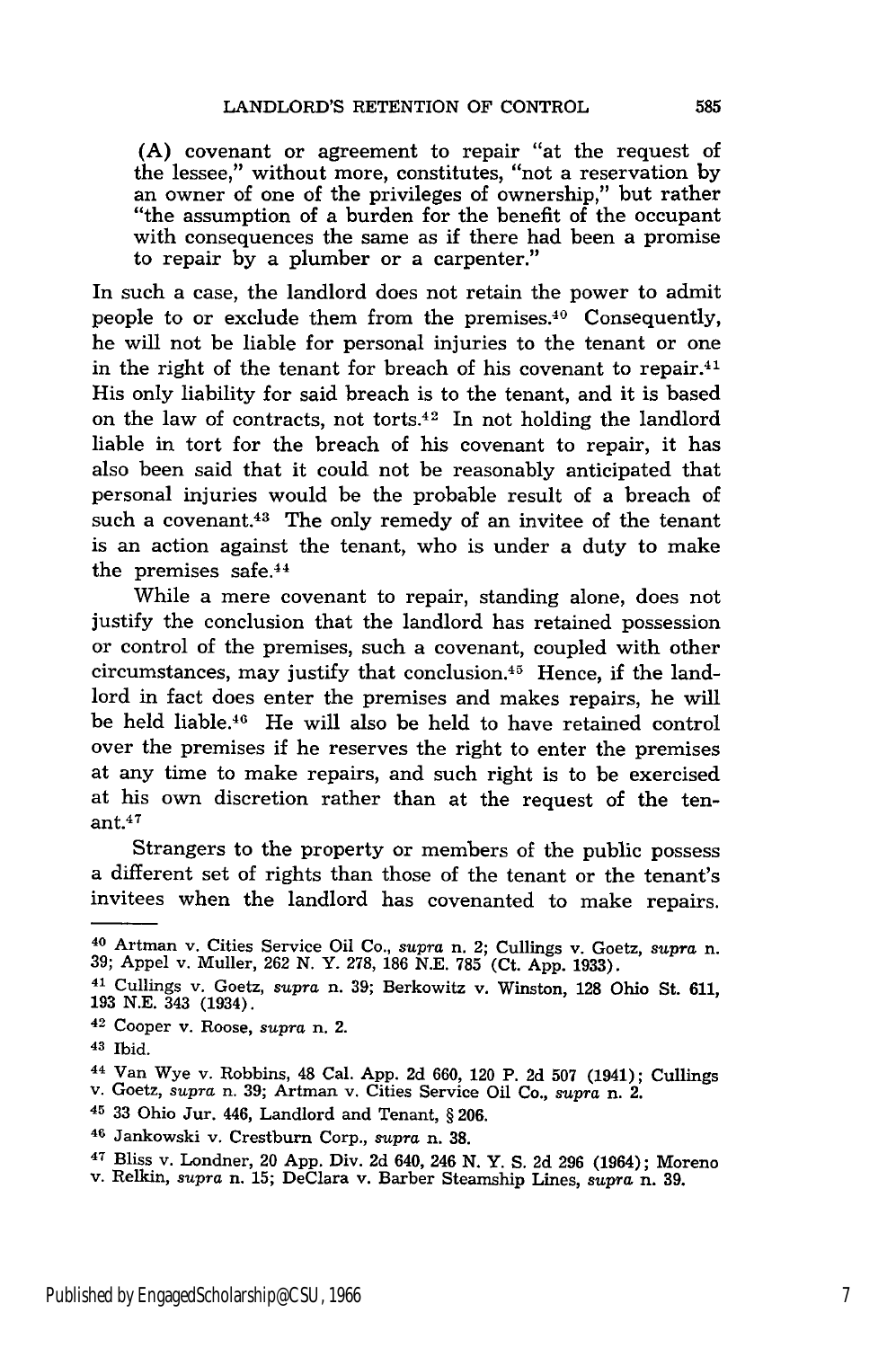(A) covenant or agreement to repair "at the request of the lessee," without more, constitutes, "not a reservation by an owner of one of the privileges of ownership," but rather "the assumption of a burden for the benefit of the occupant with consequences the same as if there had been a promise to repair by a plumber or a carpenter."

In such a case, the landlord does not retain the power to admit people to or exclude them from the premises.40 Consequently, he will not be liable for personal injuries to the tenant or one in the right of the tenant for breach of his covenant to repair. $41$ His only liability for said breach is to the tenant, and it is based on the law of contracts, not torts.<sup>42</sup> In not holding the landlord liable in tort for the breach of his covenant to repair, it has also been said that it could not be reasonably anticipated that personal injuries would be the probable result of a breach of such a covenant.<sup>43</sup> The only remedy of an invitee of the tenant is an action against the tenant, who is under a duty to make the premises safe.<sup>44</sup>

While a mere covenant to repair, standing alone, does not justify the conclusion that the landlord has retained possession or control of the premises, such a covenant, coupled with other circumstances, may justify that conclusion.4 5 Hence, if the landlord in fact does enter the premises and makes repairs, he will be held liable.46 He will also be held to have retained control over the premises if he reserves the right to enter the premises at any time to make repairs, and such right is to be exercised at his own discretion rather than at the request of the tenant. 4 7

Strangers to the property or members of the public possess a different set of rights than those of the tenant or the tenant's invitees when the landlord has covenanted to make repairs.

- 41 Cullings v. Goetz, *supra* n. 39; Berkowitz v. Winston, 128 Ohio St. 611, 193 N.E. 343 (1934).
- **<sup>42</sup>**Cooper v. Roose, *supra* n. 2.

- 45 33 Ohio Jur. 446, Landlord and Tenant, § 206.
- **<sup>46</sup>**Jankowski v. Crestburn Corp., *supra* n. **38.**

**<sup>40</sup>**Artman v. Cities Service Oil Co., *supra* n. 2; Cullings v. Goetz, *supra* n. 39; Appel v. Muller, 262 N. Y. 278, 186 N.E. 785 (Ct. App. 1933).

**<sup>43</sup>**Ibid.

<sup>44</sup> Van Wye v. Robbins, 48 Cal. App. 2d 660, 120 P. 2d 507 (1941); Cullings v. Goetz, *supra* n. 39; Artman v. Cities Service Oil Co., *supra* n. 2.

<sup>47</sup> Bliss v. Londner, 20 App. Div. 2d 640, 246 N. Y. S. 2d 296 (1964); Moreno v. Relkin, *supra* n. 15; DeClara v. Barber Steamship Lines, *supra* n. 39.